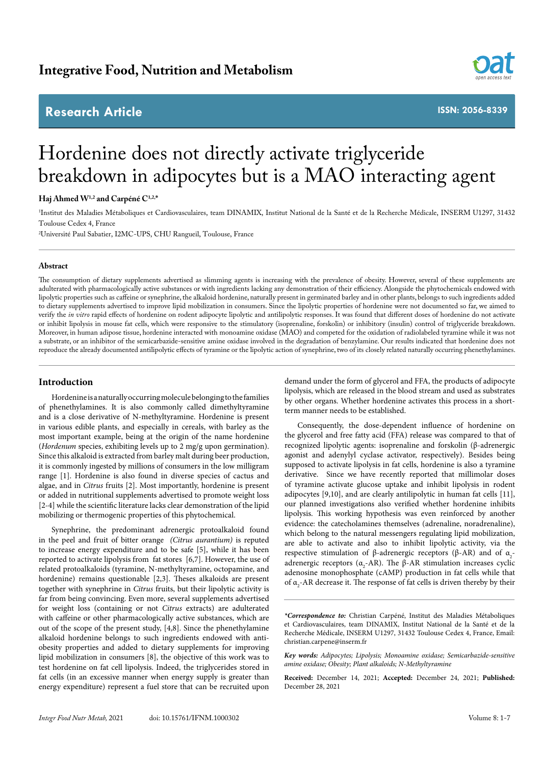# **Research Article**



**ISSN: 2056-8339**

# Hordenine does not directly activate triglyceride breakdown in adipocytes but is a MAO interacting agent

**Haj Ahmed W1,2 and Carpéné C1,2,\***

1 Institut des Maladies Métaboliques et Cardiovasculaires, team DINAMIX, Institut National de la Santé et de la Recherche Médicale, INSERM U1297, 31432 Toulouse Cedex 4, France

2 Université Paul Sabatier, I2MC-UPS, CHU Rangueil, Toulouse, France

#### **Abstract**

The consumption of dietary supplements advertised as slimming agents is increasing with the prevalence of obesity. However, several of these supplements are adulterated with pharmacologically active substances or with ingredients lacking any demonstration of their efficiency. Alongside the phytochemicals endowed with lipolytic properties such as caffeine or synephrine, the alkaloid hordenine, naturally present in germinated barley and in other plants, belongs to such ingredients added to dietary supplements advertised to improve lipid mobilization in consumers. Since the lipolytic properties of hordenine were not documented so far, we aimed to verify the *in vitro* rapid effects of hordenine on rodent adipocyte lipolytic and antilipolytic responses. It was found that different doses of hordenine do not activate or inhibit lipolysis in mouse fat cells, which were responsive to the stimulatory (isoprenaline, forskolin) or inhibitory (insulin) control of triglyceride breakdown. Moreover, in human adipose tissue, hordenine interacted with monoamine oxidase (MAO) and competed for the oxidation of radiolabeled tyramine while it was not a substrate, or an inhibitor of the semicarbazide-sensitive amine oxidase involved in the degradation of benzylamine. Our results indicated that hordenine does not reproduce the already documented antilipolytic effects of tyramine or the lipolytic action of synephrine, two of its closely related naturally occurring phenethylamines.

# **Introduction**

Hordenine is a naturally occurring molecule belonging to the families of phenethylamines. It is also commonly called dimethyltyramine and is a close derivative of N-methyltyramine. Hordenine is present in various edible plants, and especially in cereals, with barley as the most important example, being at the origin of the name hordenine (*Hordenum* species, exhibiting levels up to 2 mg/g upon germination). Since this alkaloid is extracted from barley malt during beer production, it is commonly ingested by millions of consumers in the low milligram range [1]. Hordenine is also found in diverse species of cactus and algae, and in *Citrus* fruits [2]. Most importantly, hordenine is present or added in nutritional supplements advertised to promote weight loss [2-4] while the scientific literature lacks clear demonstration of the lipid mobilizing or thermogenic properties of this phytochemical.

Synephrine, the predominant adrenergic protoalkaloid found in the peel and fruit of bitter orange *(Citrus aurantium)* is reputed to increase energy expenditure and to be safe [5], while it has been reported to activate lipolysis from fat stores [6,7]. However, the use of related protoalkaloids (tyramine, N-methyltyramine, octopamine, and hordenine) remains questionable [2,3]. Theses alkaloids are present together with synephrine in *Citrus* fruits, but their lipolytic activity is far from being convincing. Even more, several supplements advertised for weight loss (containing or not *Citrus* extracts) are adulterated with caffeine or other pharmacologically active substances, which are out of the scope of the present study, [4,8]. Since the phenethylamine alkaloid hordenine belongs to such ingredients endowed with antiobesity properties and added to dietary supplements for improving lipid mobilization in consumers [8], the objective of this work was to test hordenine on fat cell lipolysis. Indeed, the triglycerides stored in fat cells (in an excessive manner when energy supply is greater than energy expenditure) represent a fuel store that can be recruited upon

demand under the form of glycerol and FFA, the products of adipocyte lipolysis, which are released in the blood stream and used as substrates by other organs. Whether hordenine activates this process in a shortterm manner needs to be established.

Consequently, the dose-dependent influence of hordenine on the glycerol and free fatty acid (FFA) release was compared to that of recognized lipolytic agents: isoprenaline and forskolin (β-adrenergic agonist and adenylyl cyclase activator, respectively). Besides being supposed to activate lipolysis in fat cells, hordenine is also a tyramine derivative. Since we have recently reported that millimolar doses of tyramine activate glucose uptake and inhibit lipolysis in rodent adipocytes [9,10], and are clearly antilipolytic in human fat cells [11], our planned investigations also verified whether hordenine inhibits lipolysis. This working hypothesis was even reinforced by another evidence: the catecholamines themselves (adrenaline, noradrenaline), which belong to the natural messengers regulating lipid mobilization, are able to activate and also to inhibit lipolytic activity, via the respective stimulation of β-adrenergic receptors (β-AR) and of  $α_2$ adrenergic receptors ( $\alpha_2$ -AR). The β-AR stimulation increases cyclic adenosine monophosphate (cAMP) production in fat cells while that of  $\alpha$ <sub>2</sub>-AR decrease it. The response of fat cells is driven thereby by their

*<sup>\*</sup>Correspondence to:* Christian Carpéné, Institut des Maladies Métaboliques et Cardiovasculaires, team DINAMIX, Institut National de la Santé et de la Recherche Médicale, INSERM U1297, 31432 Toulouse Cedex 4, France, Email: christian.carpene@inserm.fr

*Key words: Adipocytes; Lipolysis; Monoamine oxidase; Semicarbazide-sensitive amine oxidase; Obesity; Plant alkaloids; N-Methyltyramine*

**Received:** December 14, 2021; **Accepted:** December 24, 2021; **Published:**  December 28, 2021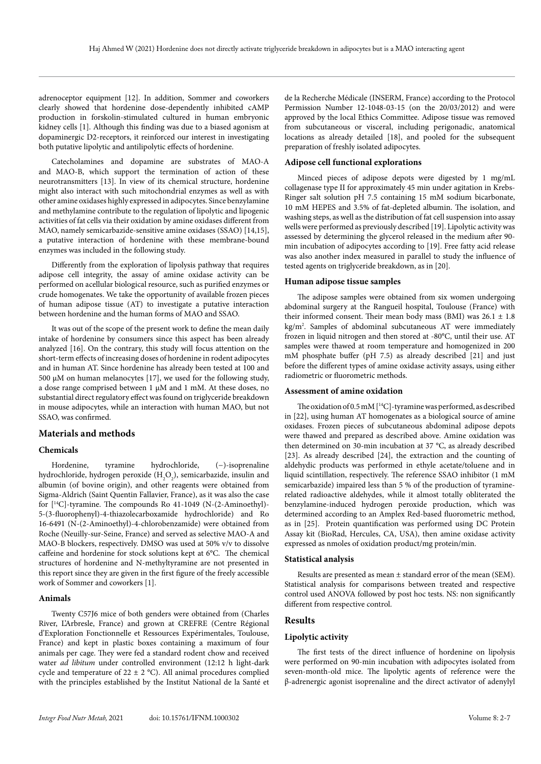adrenoceptor equipment [12]. In addition, Sommer and coworkers clearly showed that hordenine dose-dependently inhibited cAMP production in forskolin-stimulated cultured in human embryonic kidney cells [1]. Although this finding was due to a biased agonism at dopaminergic D2-receptors, it reinforced our interest in investigating both putative lipolytic and antilipolytic effects of hordenine.

Catecholamines and dopamine are substrates of MAO-A and MAO-B, which support the termination of action of these neurotransmitters [13]. In view of its chemical structure, hordenine might also interact with such mitochondrial enzymes as well as with other amine oxidases highly expressed in adipocytes. Since benzylamine and methylamine contribute to the regulation of lipolytic and lipogenic activities of fat cells via their oxidation by amine oxidases different from MAO, namely semicarbazide-sensitive amine oxidases (SSAO) [14,15], a putative interaction of hordenine with these membrane-bound enzymes was included in the following study.

Differently from the exploration of lipolysis pathway that requires adipose cell integrity, the assay of amine oxidase activity can be performed on acellular biological resource, such as purified enzymes or crude homogenates. We take the opportunity of available frozen pieces of human adipose tissue (AT) to investigate a putative interaction between hordenine and the human forms of MAO and SSAO.

It was out of the scope of the present work to define the mean daily intake of hordenine by consumers since this aspect has been already analyzed [16]. On the contrary, this study will focus attention on the short-term effects of increasing doses of hordenine in rodent adipocytes and in human AT. Since hordenine has already been tested at 100 and 500 µM on human melanocytes [17], we used for the following study, a dose range comprised between 1 µM and 1 mM. At these doses, no substantial direct regulatory effect was found on triglyceride breakdown in mouse adipocytes, while an interaction with human MAO, but not SSAO, was confirmed.

# **Materials and methods**

## **Chemicals**

Hordenine, tyramine hydrochloride, (−)-isoprenaline hydrochloride, hydrogen peroxide  $(\rm H_2O_2)$ , semicarbazide, insulin and albumin (of bovine origin), and other reagents were obtained from Sigma-Aldrich (Saint Quentin Fallavier, France), as it was also the case for [14C]-tyramine. The compounds Ro 41-1049 (N-(2-Aminoethyl)- 5-(3-fluorophenyl)-4-thiazolecarboxamide hydrochloride) and Ro 16-6491 (N-(2-Aminoethyl)-4-chlorobenzamide) were obtained from Roche (Neuilly-sur-Seine, France) and served as selective MAO-A and MAO-B blockers, respectively. DMSO was used at 50% v/v to dissolve caffeine and hordenine for stock solutions kept at 6°C. The chemical structures of hordenine and N-methyltyramine are not presented in this report since they are given in the first figure of the freely accessible work of Sommer and coworkers [1].

#### **Animals**

Twenty C57J6 mice of both genders were obtained from (Charles River, L'Arbresle, France) and grown at CREFRE (Centre Régional d'Exploration Fonctionnelle et Ressources Expérimentales, Toulouse, France) and kept in plastic boxes containing a maximum of four animals per cage. They were fed a standard rodent chow and received water *ad libitum* under controlled environment (12:12 h light-dark cycle and temperature of  $22 \pm 2$  °C). All animal procedures complied with the principles established by the Institut National de la Santé et

de la Recherche Médicale (INSERM, France) according to the Protocol Permission Number 12-1048-03-15 (on the 20/03/2012) and were approved by the local Ethics Committee. Adipose tissue was removed from subcutaneous or visceral, including perigonadic, anatomical locations as already detailed [18], and pooled for the subsequent preparation of freshly isolated adipocytes.

## **Adipose cell functional explorations**

Minced pieces of adipose depots were digested by 1 mg/mL collagenase type II for approximately 45 min under agitation in Krebs-Ringer salt solution pH 7.5 containing 15 mM sodium bicarbonate, 10 mM HEPES and 3.5% of fat-depleted albumin. The isolation, and washing steps, as well as the distribution of fat cell suspension into assay wells were performed as previously described [19]. Lipolytic activity was assessed by determining the glycerol released in the medium after 90 min incubation of adipocytes according to [19]. Free fatty acid release was also another index measured in parallel to study the influence of tested agents on triglyceride breakdown, as in [20].

#### **Human adipose tissue samples**

The adipose samples were obtained from six women undergoing abdominal surgery at the Rangueil hospital, Toulouse (France) with their informed consent. Their mean body mass (BMI) was  $26.1 \pm 1.8$ kg/m2 . Samples of abdominal subcutaneous AT were immediately frozen in liquid nitrogen and then stored at -80°C, until their use. AT samples were thawed at room temperature and homogenized in 200 mM phosphate buffer (pH 7.5) as already described [21] and just before the different types of amine oxidase activity assays, using either radiometric or fluorometric methods.

#### **Assessment of amine oxidation**

The oxidation of 0.5 mM [14C]-tyramine was performed, as described in [22], using human AT homogenates as a biological source of amine oxidases. Frozen pieces of subcutaneous abdominal adipose depots were thawed and prepared as described above. Amine oxidation was then determined on 30-min incubation at 37 °C, as already described [23]. As already described [24], the extraction and the counting of aldehydic products was performed in ethyle acetate/toluene and in liquid scintillation, respectively. The reference SSAO inhibitor (1 mM semicarbazide) impaired less than 5 % of the production of tyraminerelated radioactive aldehydes, while it almost totally obliterated the benzylamine-induced hydrogen peroxide production, which was determined according to an Amplex Red-based fluorometric method, as in [25]. Protein quantification was performed using DC Protein Assay kit (BioRad, Hercules, CA, USA), then amine oxidase activity expressed as nmoles of oxidation product/mg protein/min.

#### **Statistical analysis**

Results are presented as mean ± standard error of the mean (SEM). Statistical analysis for comparisons between treated and respective control used ANOVA followed by post hoc tests. NS: non significantly different from respective control.

# **Results**

# **Lipolytic activity**

The first tests of the direct influence of hordenine on lipolysis were performed on 90-min incubation with adipocytes isolated from seven-month-old mice. The lipolytic agents of reference were the β-adrenergic agonist isoprenaline and the direct activator of adenylyl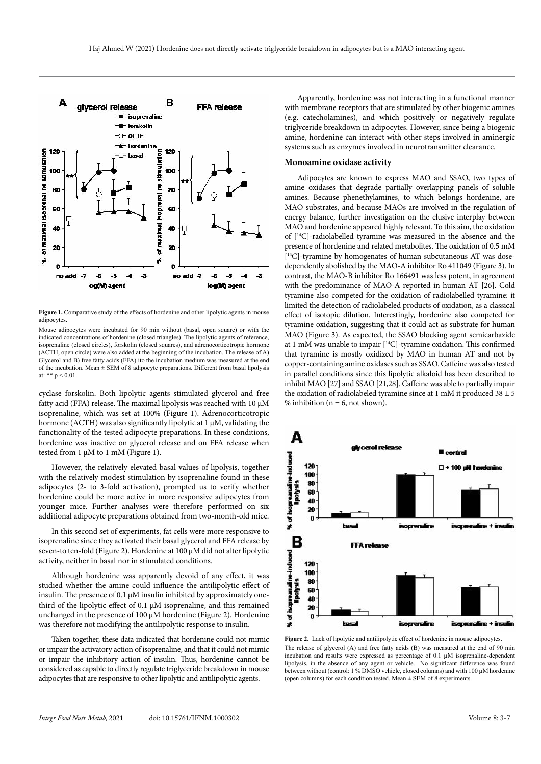

Figure 1. Comparative study of the effects of hordenine and other lipolytic agents in mouse adipocytes.

Mouse adipocytes were incubated for 90 min without (basal, open square) or with the indicated concentrations of hordenine (closed triangles). The lipolytic agents of reference, isoprenaline (closed circles), forskolin (closed squares), and adrenocorticotropic hormone (ACTH, open circle) were also added at the beginning of the incubation. The release of A) Glycerol and B) free fatty acids (FFA) ito the incubation medium was measured at the end of the incubation. Mean  $\pm$  SEM of 8 adipocyte preparations. Different from basal lipolysis at: \*\*  $p < 0.01$ .

cyclase forskolin. Both lipolytic agents stimulated glycerol and free fatty acid (FFA) release. The maximal lipolysis was reached with 10 µM isoprenaline, which was set at 100% (Figure 1). Adrenocorticotropic hormone (ACTH) was also significantly lipolytic at 1 µM, validating the functionality of the tested adipocyte preparations. In these conditions, hordenine was inactive on glycerol release and on FFA release when tested from 1 µM to 1 mM (Figure 1).

However, the relatively elevated basal values of lipolysis, together with the relatively modest stimulation by isoprenaline found in these adipocytes (2- to 3-fold activation), prompted us to verify whether hordenine could be more active in more responsive adipocytes from younger mice. Further analyses were therefore performed on six additional adipocyte preparations obtained from two-month-old mice.

In this second set of experiments, fat cells were more responsive to isoprenaline since they activated their basal glycerol and FFA release by seven-to ten-fold (Figure 2). Hordenine at 100 µM did not alter lipolytic activity, neither in basal nor in stimulated conditions.

Although hordenine was apparently devoid of any effect, it was studied whether the amine could influence the antilipolytic effect of insulin. The presence of  $0.1 \mu$ M insulin inhibited by approximately onethird of the lipolytic effect of 0.1 µM isoprenaline, and this remained unchanged in the presence of 100 µM hordenine (Figure 2). Hordenine was therefore not modifying the antilipolytic response to insulin.

Taken together, these data indicated that hordenine could not mimic or impair the activatory action of isoprenaline, and that it could not mimic or impair the inhibitory action of insulin. Thus, hordenine cannot be considered as capable to directly regulate triglyceride breakdown in mouse adipocytes that are responsive to other lipolytic and antilipolytic agents.

Apparently, hordenine was not interacting in a functional manner with membrane receptors that are stimulated by other biogenic amines (e.g. catecholamines), and which positively or negatively regulate triglyceride breakdown in adipocytes. However, since being a biogenic amine, hordenine can interact with other steps involved in aminergic systems such as enzymes involved in neurotransmitter clearance.

# **Monoamine oxidase activity**

Adipocytes are known to express MAO and SSAO, two types of amine oxidases that degrade partially overlapping panels of soluble amines. Because phenethylamines, to which belongs hordenine, are MAO substrates, and because MAOs are involved in the regulation of energy balance, further investigation on the elusive interplay between MAO and hordenine appeared highly relevant. To this aim, the oxidation of [14C]-radiolabelled tyramine was measured in the absence and the presence of hordenine and related metabolites. The oxidation of 0.5 mM  $[$ <sup>14</sup>C]-tyramine by homogenates of human subcutaneous AT was dosedependently abolished by the MAO-A inhibitor Ro 411049 (Figure 3). In contrast, the MAO-B inhibitor Ro 166491 was less potent, in agreement with the predominance of MAO-A reported in human AT [26]. Cold tyramine also competed for the oxidation of radiolabelled tyramine: it limited the detection of radiolabeled products of oxidation, as a classical effect of isotopic dilution. Interestingly, hordenine also competed for tyramine oxidation, suggesting that it could act as substrate for human MAO (Figure 3). As expected, the SSAO blocking agent semicarbazide at 1 mM was unable to impair [14C]-tyramine oxidation. This confirmed that tyramine is mostly oxidized by MAO in human AT and not by copper-containing amine oxidases such as SSAO. Caffeine was also tested in parallel conditions since this lipolytic alkaloid has been described to inhibit MAO [27] and SSAO [21,28]. Caffeine was able to partially impair the oxidation of radiolabeled tyramine since at 1 mM it produced  $38 \pm 5$ % inhibition ( $n = 6$ , not shown).



Figure 2. Lack of lipolytic and antilipolytic effect of hordenine in mouse adipocytes. The release of glycerol (A) and free fatty acids (B) was measured at the end of 90 min incubation and results were expressed as percentage of 0.1 µM isoprenaline-dependent lipolysis, in the absence of any agent or vehicle. No significant difference was found between without (control: 1 % DMSO vehicle, closed columns) and with 100 µM hordenine (open columns) for each condition tested. Mean ± SEM of 8 experiments.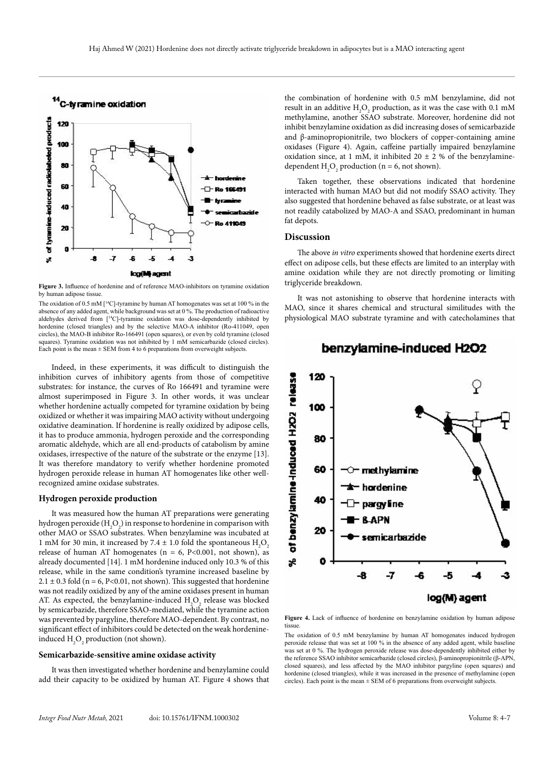

**Figure 3.** Influence of hordenine and of reference MAO-inhibitors on tyramine oxidation by human adipose tissue.

The oxidation of 0.5 mM  $[$ <sup>14</sup>C]-tyramine by human AT homogenates was set at 100 % in the absence of any added agent, while background was set at 0 %. The production of radioactive aldehydes derived from [14C]-tyramine oxidation was dose-dependently inhibited by hordenine (closed triangles) and by the selective MAO-A inhibitor (Ro-411049, open circles), the MAO-B inhibitor Ro-166491 (open squares), or even by cold tyramine (closed squares). Tyramine oxidation was not inhibited by 1 mM semicarbazide (closed circles). Each point is the mean  $\pm$  SEM from 4 to 6 preparations from overweight subjects.

Indeed, in these experiments, it was difficult to distinguish the inhibition curves of inhibitory agents from those of competitive substrates: for instance, the curves of Ro 166491 and tyramine were almost superimposed in Figure 3. In other words, it was unclear whether hordenine actually competed for tyramine oxidation by being oxidized or whether it was impairing MAO activity without undergoing oxidative deamination. If hordenine is really oxidized by adipose cells, it has to produce ammonia, hydrogen peroxide and the corresponding aromatic aldehyde, which are all end-products of catabolism by amine oxidases, irrespective of the nature of the substrate or the enzyme [13]. It was therefore mandatory to verify whether hordenine promoted hydrogen peroxide release in human AT homogenates like other wellrecognized amine oxidase substrates.

#### **Hydrogen peroxide production**

It was measured how the human AT preparations were generating hydrogen peroxide  $(\mathrm{H_2O}_2)$  in response to hordenine in comparison with other MAO or SSAO substrates. When benzylamine was incubated at 1 mM for 30 min, it increased by 7.4  $\pm$  1.0 fold the spontaneous  $H_2O_2$ release of human AT homogenates ( $n = 6$ , P<0.001, not shown), as already documented [14]. 1 mM hordenine induced only 10.3 % of this release, while in the same condition's tyramine increased baseline by  $2.1 \pm 0.3$  fold (n = 6, P<0.01, not shown). This suggested that hordenine was not readily oxidized by any of the amine oxidases present in human AT. As expected, the benzylamine-induced  $\rm{H}_{2}\rm{O}_{2}$  release was blocked by semicarbazide, therefore SSAO-mediated, while the tyramine action was prevented by pargyline, therefore MAO-dependent. By contrast, no significant effect of inhibitors could be detected on the weak hordenineinduced  $H_2O_2$  production (not shown).

#### **Semicarbazide-sensitive amine oxidase activity**

It was then investigated whether hordenine and benzylamine could add their capacity to be oxidized by human AT. Figure 4 shows that the combination of hordenine with 0.5 mM benzylamine, did not result in an additive  $H_2O_2$  production, as it was the case with 0.1 mM methylamine, another SSAO substrate. Moreover, hordenine did not inhibit benzylamine oxidation as did increasing doses of semicarbazide and β-aminopropionitrile, two blockers of copper-containing amine oxidases (Figure 4). Again, caffeine partially impaired benzylamine oxidation since, at 1 mM, it inhibited 20  $\pm$  2 % of the benzylaminedependent  $H_2O_2$  production (n = 6, not shown).

Taken together, these observations indicated that hordenine interacted with human MAO but did not modify SSAO activity. They also suggested that hordenine behaved as false substrate, or at least was not readily catabolized by MAO-A and SSAO, predominant in human fat depots.

# **Discussion**

The above *in vitro* experiments showed that hordenine exerts direct effect on adipose cells, but these effects are limited to an interplay with amine oxidation while they are not directly promoting or limiting triglyceride breakdown.

It was not astonishing to observe that hordenine interacts with MAO, since it shares chemical and structural similitudes with the physiological MAO substrate tyramine and with catecholamines that



# benzylamine-induced H2O2

**Figure 4.** Lack of influence of hordenine on benzylamine oxidation by human adipose tissue.

The oxidation of 0.5 mM benzylamine by human AT homogenates induced hydrogen peroxide release that was set at 100 % in the absence of any added agent, while baseline was set at 0 %. The hydrogen peroxide release was dose-dependently inhibited either by the reference SSAO inhibitor semicarbazide (closed circles), β-aminopropionitrile (β-APN, closed squares), and less affected by the MAO inhibitor pargyline (open squares) and hordenine (closed triangles), while it was increased in the presence of methylamine (open circles). Each point is the mean ± SEM of 6 preparations from overweight subjects.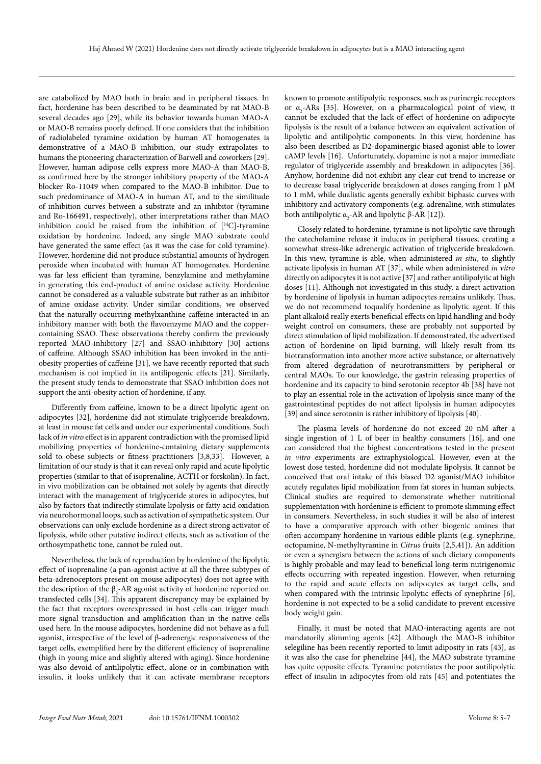are catabolized by MAO both in brain and in peripheral tissues. In fact, hordenine has been described to be deaminated by rat MAO-B several decades ago [29], while its behavior towards human MAO-A or MAO-B remains poorly defined. If one considers that the inhibition of radiolabeled tyramine oxidation by human AT homogenates is demonstrative of a MAO-B inhibition, our study extrapolates to humans the pioneering characterization of Barwell and coworkers [29]. However, human adipose cells express more MAO-A than MAO-B, as confirmed here by the stronger inhibitory property of the MAO-A blocker Ro-11049 when compared to the MAO-B inhibitor. Due to such predominance of MAO-A in human AT, and to the similitude of inhibition curves between a substrate and an inhibitor (tyramine and Ro-166491, respectively), other interpretations rather than MAO inhibition could be raised from the inhibition of  $[$ <sup>14</sup>C $]$ -tyramine oxidation by hordenine. Indeed, any single MAO substrate could have generated the same effect (as it was the case for cold tyramine). However, hordenine did not produce substantial amounts of hydrogen peroxide when incubated with human AT homogenates. Hordenine was far less efficient than tyramine, benzylamine and methylamine in generating this end-product of amine oxidase activity. Hordenine cannot be considered as a valuable substrate but rather as an inhibitor of amine oxidase activity. Under similar conditions, we observed that the naturally occurring methylxanthine caffeine interacted in an inhibitory manner with both the flavoenzyme MAO and the coppercontaining SSAO. These observations thereby confirm the previously reported MAO-inhibitory [27] and SSAO-inhibitory [30] actions of caffeine. Although SSAO inhibition has been invoked in the antiobesity properties of caffeine [31], we have recently reported that such mechanism is not implied in its antilipogenic effects [21]. Similarly, the present study tends to demonstrate that SSAO inhibition does not support the anti-obesity action of hordenine, if any.

Differently from caffeine, known to be a direct lipolytic agent on adipocytes [32], hordenine did not stimulate triglyceride breakdown, at least in mouse fat cells and under our experimental conditions. Such lack of *in vitro* effect is in apparent contradiction with the promised lipid mobilizing properties of hordenine-containing dietary supplements sold to obese subjects or fitness practitioners [3,8,33]. However, a limitation of our study is that it can reveal only rapid and acute lipolytic properties (similar to that of isoprenaline, ACTH or forskolin). In fact, in vivo mobilization can be obtained not solely by agents that directly interact with the management of triglyceride stores in adipocytes, but also by factors that indirectly stimulate lipolysis or fatty acid oxidation via neurohormonal loops, such as activation of sympathetic system. Our observations can only exclude hordenine as a direct strong activator of lipolysis, while other putative indirect effects, such as activation of the orthosympathetic tone, cannot be ruled out.

Nevertheless, the lack of reproduction by hordenine of the lipolytic effect of isoprenaline (a pan-agonist active at all the three subtypes of beta-adrenoceptors present on mouse adipocytes) does not agree with the description of the  $\beta_2$ -AR agonist activity of hordenine reported on transfected cells [34]. This apparent discrepancy may be explained by the fact that receptors overexpressed in host cells can trigger much more signal transduction and amplification than in the native cells used here. In the mouse adipocytes, hordenine did not behave as a full agonist, irrespective of the level of β-adrenergic responsiveness of the target cells, exemplified here by the different efficiency of isoprenaline (high in young mice and slightly altered with aging). Since hordenine was also devoid of antilipolytic effect, alone or in combination with insulin, it looks unlikely that it can activate membrane receptors

known to promote antilipolytic responses, such as purinergic receptors or α<sub>2</sub>-ARs [35]. However, on a pharmacological point of view, it cannot be excluded that the lack of effect of hordenine on adipocyte lipolysis is the result of a balance between an equivalent activation of lipolytic and antilipolytic components. In this view, hordenine has also been described as D2-dopaminergic biased agonist able to lower cAMP levels [16]. Unfortunately, dopamine is not a major immediate regulator of triglyceride assembly and breakdown in adipocytes [36]. Anyhow, hordenine did not exhibit any clear-cut trend to increase or to decrease basal triglyceride breakdown at doses ranging from 1 µM to 1 mM, while dualistic agents generally exhibit biphasic curves with inhibitory and activatory components (e.g. adrenaline, with stimulates both antilipolytic  $\alpha_{2}$ -AR and lipolytic  $\beta$ -AR [12]).

Closely related to hordenine, tyramine is not lipolytic save through the catecholamine release it induces in peripheral tissues, creating a somewhat stress-like adrenergic activation of triglyceride breakdown. In this view, tyramine is able, when administered *in situ*, to slightly activate lipolysis in human AT [37], while when administered *in vitro* directly on adipocytes it is not active [37] and rather antilipolytic at high doses [11]. Although not investigated in this study, a direct activation by hordenine of lipolysis in human adipocytes remains unlikely. Thus, we do not recommend toqualify hordenine as lipolytic agent. If this plant alkaloid really exerts beneficial effects on lipid handling and body weight control on consumers, these are probably not supported by direct stimulation of lipid mobilization. If demonstrated, the advertised action of hordenine on lipid burning, will likely result from its biotransformation into another more active substance, or alternatively from altered degradation of neurotransmitters by peripheral or central MAOs. To our knowledge, the gastrin releasing properties of hordenine and its capacity to bind serotonin receptor 4b [38] have not to play an essential role in the activation of lipolysis since many of the gastrointestinal peptides do not affect lipolysis in human adipocytes [39] and since serotonin is rather inhibitory of lipolysis [40].

The plasma levels of hordenine do not exceed 20 nM after a single ingestion of 1 L of beer in healthy consumers [16], and one can considered that the highest concentrations tested in the present *in vitro* experiments are extraphysiological. However, even at the lowest dose tested, hordenine did not modulate lipolysis. It cannot be conceived that oral intake of this biased D2 agonist/MAO inhibitor acutely regulates lipid mobilization from fat stores in human subjects. Clinical studies are required to demonstrate whether nutritional supplementation with hordenine is efficient to promote slimming effect in consumers. Nevertheless, in such studies it will be also of interest to have a comparative approach with other biogenic amines that often accompany hordenine in various edible plants (e.g. synephrine, octopamine, N-methyltyramine in *Citrus* fruits [2,5,41]). An addition or even a synergism between the actions of such dietary components is highly probable and may lead to beneficial long-term nutrigenomic effects occurring with repeated ingestion. However, when returning to the rapid and acute effects on adipocytes as target cells, and when compared with the intrinsic lipolytic effects of synephrine [6], hordenine is not expected to be a solid candidate to prevent excessive body weight gain.

Finally, it must be noted that MAO-interacting agents are not mandatorily slimming agents [42]. Although the MAO-B inhibitor selegiline has been recently reported to limit adiposity in rats [43], as it was also the case for phenelzine [44], the MAO substrate tyramine has quite opposite effects. Tyramine potentiates the poor antilipolytic effect of insulin in adipocytes from old rats [45] and potentiates the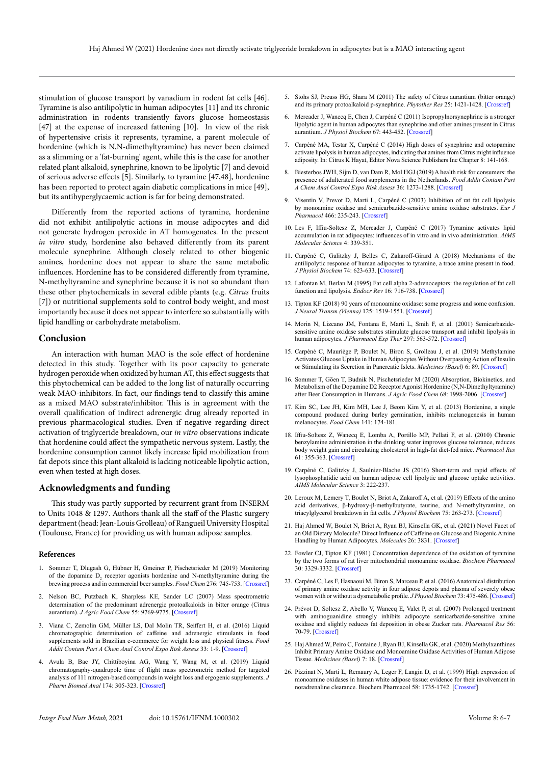stimulation of glucose transport by vanadium in rodent fat cells [46]. Tyramine is also antilipolytic in human adipocytes [11] and its chronic administration in rodents transiently favors glucose homeostasis [47] at the expense of increased fattening [10]. In view of the risk of hypertensive crisis it represents, tyramine, a parent molecule of hordenine (which is N,N-dimethyltyramine) has never been claimed as a slimming or a 'fat-burning' agent, while this is the case for another related plant alkaloid, synephrine, known to be lipolytic [7] and devoid of serious adverse effects [5]. Similarly, to tyramine [47,48], hordenine has been reported to protect again diabetic complications in mice [49], but its antihyperglycaemic action is far for being demonstrated.

Differently from the reported actions of tyramine, hordenine did not exhibit antilipolytic actions in mouse adipocytes and did not generate hydrogen peroxide in AT homogenates. In the present *in vitro* study, hordenine also behaved differently from its parent molecule synephrine. Although closely related to other biogenic amines, hordenine does not appear to share the same metabolic influences. Hordenine has to be considered differently from tyramine, N-methyltyramine and synephrine because it is not so abundant than these other phytochemicals in several edible plants (e.g. *Citrus* fruits [7]) or nutritional supplements sold to control body weight, and most importantly because it does not appear to interfere so substantially with lipid handling or carbohydrate metabolism.

#### **Conclusion**

An interaction with human MAO is the sole effect of hordenine detected in this study. Together with its poor capacity to generate hydrogen peroxide when oxidized by human AT, this effect suggests that this phytochemical can be added to the long list of naturally occurring weak MAO-inhibitors. In fact, our findings tend to classify this amine as a mixed MAO substrate/inhibitor. This is in agreement with the overall qualification of indirect adrenergic drug already reported in previous pharmacological studies. Even if negative regarding direct activation of triglyceride breakdown, our *in vitro* observations indicate that hordenine could affect the sympathetic nervous system. Lastly, the hordenine consumption cannot likely increase lipid mobilization from fat depots since this plant alkaloid is lacking noticeable lipolytic action, even when tested at high doses.

## **Acknowledgments and funding**

This study was partly supported by recurrent grant from INSERM to Units 1048 & 1297. Authors thank all the staff of the Plastic surgery department (head: Jean-Louis Grolleau) of Rangueil University Hospital (Toulouse, France) for providing us with human adipose samples.

#### **References**

- 1. Sommer T, Dlugash G, Hübner H, Gmeiner P, Pischetsrieder M (2019) Monitoring of the dopamine  $D_2$  receptor agonists hordenine and N-methyltyramine during the brewing process and in commercial beer samples. *Food Chem* 276: 745-753. [[Crossref\]](https://pubmed.ncbi.nlm.nih.gov/30409657/)
- 2. Nelson BC, Putzbach K, Sharpless KE, Sander LC (2007) Mass spectrometric determination of the predominant adrenergic protoalkaloids in bitter orange (Citrus aurantium). *J Agric Food Chem* 55: 9769-9775. [[Crossref](https://pubmed.ncbi.nlm.nih.gov/17966980/)]
- 3. Viana C, Zemolin GM, Müller LS, Dal Molin TR, Seiffert H, et al. (2016) Liquid chromatographic determination of caffeine and adrenergic stimulants in food supplements sold in Brazilian e-commerce for weight loss and physical fitness. *Food Addit Contam Part A Chem Anal Control Expo Risk Assess* 33: 1-9. [[Crossref](https://pubmed.ncbi.nlm.nih.gov/26560757/)]
- 4. Avula B, Bae JY, Chittiboyina AG, Wang Y, Wang M, et al. (2019) Liquid chromatography-quadrupole time of flight mass spectrometric method for targeted analysis of 111 nitrogen-based compounds in weight loss and ergogenic supplements. *J Pharm Biomed Anal* 174: 305-323. [[Crossref\]](https://pubmed.ncbi.nlm.nih.gov/31195319/)
- 5. Stohs SJ, Preuss HG, Shara M (2011) The safety of Citrus aurantium (bitter orange) and its primary protoalkaloid p-synephrine. *Phytother Res* 25: 1421-1428. [[Crossref\]](https://pubmed.ncbi.nlm.nih.gov/21480414/)
- Mercader J, Wanecq E, Chen J, Carpéné C (2011) Isopropylnorsynephrine is a stronger lipolytic agent in human adipocytes than synephrine and other amines present in Citrus aurantium. *J Physiol Biochem* 67: 443-452. [[Crossref\]](https://pubmed.ncbi.nlm.nih.gov/21336650/)
- 7. Carpéné MA, Testar X, Carpéné C (2014) High doses of synephrine and octopamine activate lipolysis in human adipocytes, indicating that amines from Citrus might influence adiposity. In: Citrus K Hayat, Editor Nova Science Publishers Inc Chapter 8: 141-168.
- 8. Biesterbos JWH, Sijm D, van Dam R, Mol HGJ (2019) A health risk for consumers: the presence of adulterated food supplements in the Netherlands. *Food Addit Contam Part A Chem Anal Control Expo Risk Assess* 36: 1273-1288. [[Crossref](https://pubmed.ncbi.nlm.nih.gov/31294678/)]
- 9. Visentin V, Prevot D, Marti L, Carpéné C (2003) Inhibition of rat fat cell lipolysis by monoamine oxidase and semicarbazide-sensitive amine oxidase substrates. *Eur J Pharmacol* 466: 235-243. [[Crossref](https://pubmed.ncbi.nlm.nih.gov/12694806/)]
- 10. Les F, Iffiu-Soltesz Z, Mercader J, Carpéné C (2017) Tyramine activates lipid accumulation in rat adipocytes: influences of in vitro and in vivo administration. *AIMS Molecular Science* 4: 339-351.
- 11. Carpéné C, Galitzky J, Belles C, Zakaroff-Girard A (2018) Mechanisms of the antilipolytic response of human adipocytes to tyramine, a trace amine present in food. *J Physiol Biochem* 74: 623-633. [[Crossref\]](https://pubmed.ncbi.nlm.nih.gov/30039351/)
- 12. Lafontan M, Berlan M (1995) Fat cell alpha 2-adrenoceptors: the regulation of fat cell function and lipolysis. *Endocr Rev* 16: 716-738. [[Crossref\]](https://pubmed.ncbi.nlm.nih.gov/8747832/)
- 13. Tipton KF (2018) 90 years of monoamine oxidase: some progress and some confusion. *J Neural Transm (Vienna)* 125: 1519-1551. [[Crossref](https://pubmed.ncbi.nlm.nih.gov/29637260/)]
- 14. Morin N, Lizcano JM, Fontana E, Marti L, Smih F, et al. (2001) Semicarbazidesensitive amine oxidase substrates stimulate glucose transport and inhibit lipolysis in human adipocytes. *J Pharmacol Exp Ther* 297: 563-572. [[Crossref](https://pubmed.ncbi.nlm.nih.gov/11303044/)]
- 15. Carpéné C, Mauriège P, Boulet N, Biron S, Grolleau J, et al. (2019) Methylamine Activates Glucose Uptake in Human Adipocytes Without Overpassing Action of Insulin or Stimulating its Secretion in Pancreatic Islets. *Medicines (Basel)* 6: 89. [[Crossref\]](https://pubmed.ncbi.nlm.nih.gov/31409018/)
- 16. Sommer T, Göen T, Budnik N, Pischetsrieder M (2020) Absorption, Biokinetics, and Metabolism of the Dopamine D2 Receptor Agonist Hordenine (N,N-Dimethyltyramine) after Beer Consumption in Humans. *J Agric Food Chem* 68: 1998-2006. [[Crossref\]](https://pubmed.ncbi.nlm.nih.gov/31984737/)
- 17. Kim SC, Lee JH, Kim MH, Lee J, Beom Kim Y, et al. (2013) Hordenine, a single compound produced during barley germination, inhibits melanogenesis in human melanocytes. *Food Chem* 141: 174-181.
- 18. Iffiu-Soltesz Z, Wanecq E, Lomba A, Portillo MP, Pellati F, et al. (2010) Chronic benzylamine administration in the drinking water improves glucose tolerance, reduces body weight gain and circulating cholesterol in high-fat diet-fed mice. *Pharmacol Res* 61: 355-363. [[Crossref](https://pubmed.ncbi.nlm.nih.gov/20045461/)]
- 19. Carpéné C, Galitzky J, Saulnier-Blache JS (2016) Short-term and rapid effects of lysophosphatidic acid on human adipose cell lipolytic and glucose uptake activities. *AIMS Molecular Science* 3: 222-237.
- 20. Leroux M, Lemery T, Boulet N, Briot A, Zakaroff A, et al. (2019) Effects of the amino acid derivatives, β-hydroxy-β-methylbutyrate, taurine, and N-methyltyramine, on triacylglycerol breakdown in fat cells. *J Physiol Biochem* 75: 263-273. [[Crossref](https://pubmed.ncbi.nlm.nih.gov/30919256/)]
- 21. Haj Ahmed W, Boulet N, Briot A, Ryan BJ, Kinsella GK, et al. (2021) Novel Facet of an Old Dietary Molecule? Direct Influence of Caffeine on Glucose and Biogenic Amine Handling by Human Adipocytes. *Molecules* 26: 3831. [[Crossref](https://pubmed.ncbi.nlm.nih.gov/34201708/)]
- 22. Fowler CJ, Tipton KF (1981) Concentration dependence of the oxidation of tyramine by the two forms of rat liver mitochondrial monoamine oxidase. *Biochem Pharmacol* 30: 3329-3332. [[Crossref](https://pubmed.ncbi.nlm.nih.gov/7326042/)]
- 23. Carpéné C, Les F, Hasnaoui M, Biron S, Marceau P, et al. (2016) Anatomical distribution of primary amine oxidase activity in four adipose depots and plasma of severely obese women with or without a dysmetabolic profile. *J Physiol Biochem* 73: 475-486. [[Crossref\]](https://pubmed.ncbi.nlm.nih.gov/27766585/)
- 24. Prévot D, Soltesz Z, Abello V, Wanecq E, Valet P, et al. (2007) Prolonged treatment with aminoguanidine strongly inhibits adipocyte semicarbazide-sensitive amine oxidase and slightly reduces fat deposition in obese Zucker rats. *Pharmacol Res* 56: 70-79. [[Crossref](https://pubmed.ncbi.nlm.nih.gov/17548204/)]
- 25. Haj Ahmed W, Peiro C, Fontaine J, Ryan BJ, Kinsella GK, et al. (2020) Methylxanthines Inhibit Primary Amine Oxidase and Monoamine Oxidase Activities of Human Adipose Tissue. *Medicines (Basel)* 7: 18. [[Crossref](https://pubmed.ncbi.nlm.nih.gov/32252407/)]
- 26. Pizzinat N, Marti L, Remaury A, Leger F, Langin D, et al. (1999) High expression of monoamine oxidases in human white adipose tissue: evidence for their involvement in noradrenaline clearance. Biochem Pharmacol 58: 1735-1742. [[Crossref](https://pubmed.ncbi.nlm.nih.gov/10571247/)]